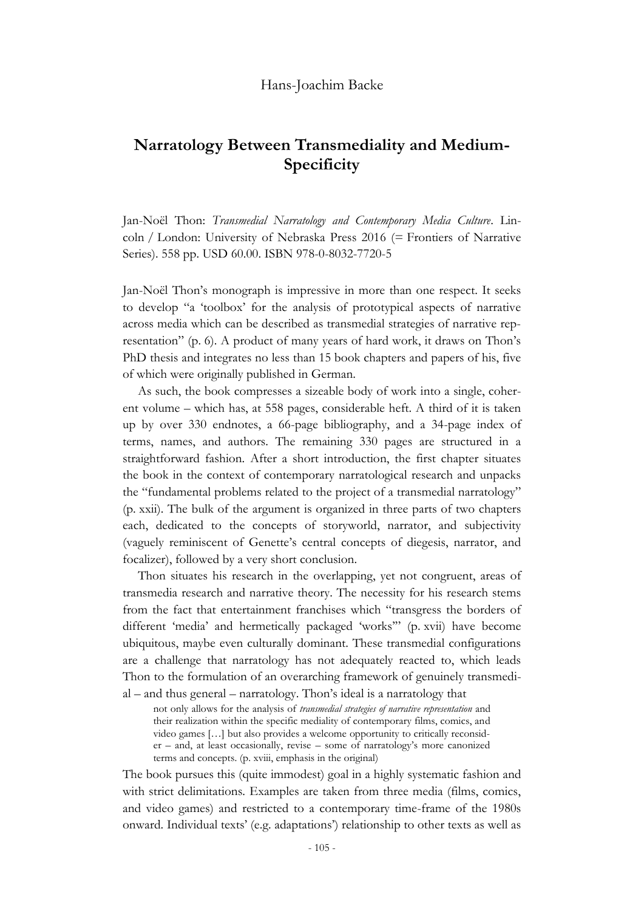## Hans-Joachim Backe

## **Narratology Between Transmediality and Medium-Specificity**

Jan-Noël Thon: *Transmedial Narratology and Contemporary Media Culture*. Lincoln / London: University of Nebraska Press 2016 (= Frontiers of Narrative Series). 558 pp. USD 60.00. ISBN 978-0-8032-7720-5

Jan-Noël Thon's monograph is impressive in more than one respect. It seeks to develop "a 'toolbox' for the analysis of prototypical aspects of narrative across media which can be described as transmedial strategies of narrative representation" (p. 6). A product of many years of hard work, it draws on Thon's PhD thesis and integrates no less than 15 book chapters and papers of his, five of which were originally published in German.

As such, the book compresses a sizeable body of work into a single, coherent volume – which has, at 558 pages, considerable heft. A third of it is taken up by over 330 endnotes, a 66-page bibliography, and a 34-page index of terms, names, and authors. The remaining 330 pages are structured in a straightforward fashion. After a short introduction, the first chapter situates the book in the context of contemporary narratological research and unpacks the "fundamental problems related to the project of a transmedial narratology" (p. xxii). The bulk of the argument is organized in three parts of two chapters each, dedicated to the concepts of storyworld, narrator, and subjectivity (vaguely reminiscent of Genette's central concepts of diegesis, narrator, and focalizer), followed by a very short conclusion.

Thon situates his research in the overlapping, yet not congruent, areas of transmedia research and narrative theory. The necessity for his research stems from the fact that entertainment franchises which "transgress the borders of different 'media' and hermetically packaged 'works'" (p. xvii) have become ubiquitous, maybe even culturally dominant. These transmedial configurations are a challenge that narratology has not adequately reacted to, which leads Thon to the formulation of an overarching framework of genuinely transmedial – and thus general – narratology. Thon's ideal is a narratology that

not only allows for the analysis of *transmedial strategies of narrative representation* and their realization within the specific mediality of contemporary films, comics, and video games […] but also provides a welcome opportunity to critically reconsider – and, at least occasionally, revise – some of narratology's more canonized terms and concepts. (p. xviii, emphasis in the original)

The book pursues this (quite immodest) goal in a highly systematic fashion and with strict delimitations. Examples are taken from three media (films, comics, and video games) and restricted to a contemporary time-frame of the 1980s onward. Individual texts' (e.g. adaptations') relationship to other texts as well as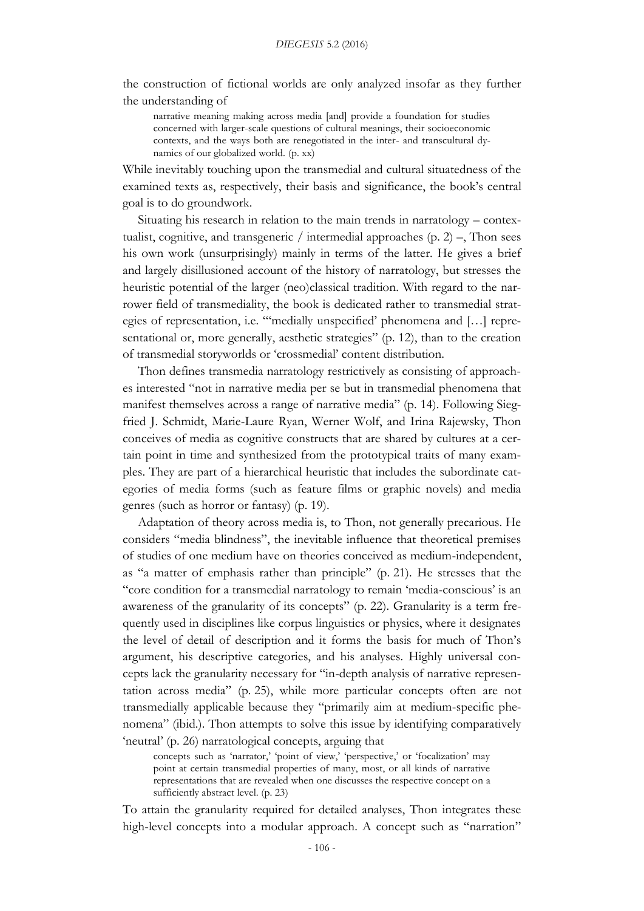the construction of fictional worlds are only analyzed insofar as they further the understanding of

narrative meaning making across media [and] provide a foundation for studies concerned with larger-scale questions of cultural meanings, their socioeconomic contexts, and the ways both are renegotiated in the inter- and transcultural dynamics of our globalized world. (p. xx)

While inevitably touching upon the transmedial and cultural situatedness of the examined texts as, respectively, their basis and significance, the book's central goal is to do groundwork.

Situating his research in relation to the main trends in narratology – contextualist, cognitive, and transgeneric / intermedial approaches  $(p, 2)$  –, Thon sees his own work (unsurprisingly) mainly in terms of the latter. He gives a brief and largely disillusioned account of the history of narratology, but stresses the heuristic potential of the larger (neo)classical tradition. With regard to the narrower field of transmediality, the book is dedicated rather to transmedial strategies of representation, i.e. "'medially unspecified' phenomena and […] representational or, more generally, aesthetic strategies" (p. 12), than to the creation of transmedial storyworlds or 'crossmedial' content distribution.

Thon defines transmedia narratology restrictively as consisting of approaches interested "not in narrative media per se but in transmedial phenomena that manifest themselves across a range of narrative media" (p. 14). Following Siegfried J. Schmidt, Marie-Laure Ryan, Werner Wolf, and Irina Rajewsky, Thon conceives of media as cognitive constructs that are shared by cultures at a certain point in time and synthesized from the prototypical traits of many examples. They are part of a hierarchical heuristic that includes the subordinate categories of media forms (such as feature films or graphic novels) and media genres (such as horror or fantasy) (p. 19).

Adaptation of theory across media is, to Thon, not generally precarious. He considers "media blindness", the inevitable influence that theoretical premises of studies of one medium have on theories conceived as medium-independent, as "a matter of emphasis rather than principle" (p. 21). He stresses that the "core condition for a transmedial narratology to remain 'media-conscious' is an awareness of the granularity of its concepts" (p. 22). Granularity is a term frequently used in disciplines like corpus linguistics or physics, where it designates the level of detail of description and it forms the basis for much of Thon's argument, his descriptive categories, and his analyses. Highly universal concepts lack the granularity necessary for "in-depth analysis of narrative representation across media" (p. 25), while more particular concepts often are not transmedially applicable because they "primarily aim at medium-specific phenomena" (ibid.). Thon attempts to solve this issue by identifying comparatively 'neutral' (p. 26) narratological concepts, arguing that

concepts such as 'narrator,' 'point of view,' 'perspective,' or 'focalization' may point at certain transmedial properties of many, most, or all kinds of narrative representations that are revealed when one discusses the respective concept on a sufficiently abstract level. (p. 23)

To attain the granularity required for detailed analyses, Thon integrates these high-level concepts into a modular approach. A concept such as "narration"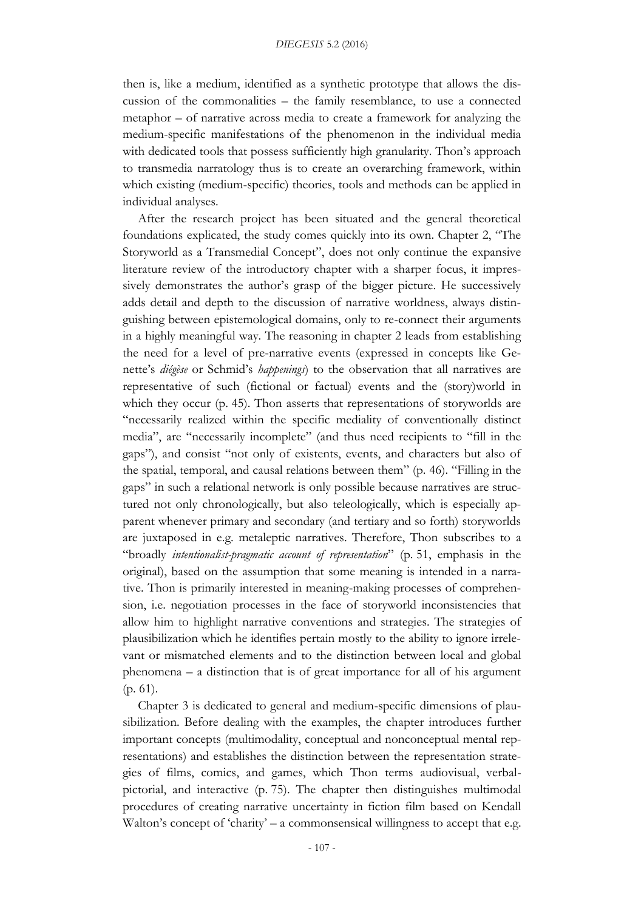then is, like a medium, identified as a synthetic prototype that allows the discussion of the commonalities – the family resemblance, to use a connected metaphor – of narrative across media to create a framework for analyzing the medium-specific manifestations of the phenomenon in the individual media with dedicated tools that possess sufficiently high granularity. Thon's approach to transmedia narratology thus is to create an overarching framework, within which existing (medium-specific) theories, tools and methods can be applied in individual analyses.

After the research project has been situated and the general theoretical foundations explicated, the study comes quickly into its own. Chapter 2, "The Storyworld as a Transmedial Concept", does not only continue the expansive literature review of the introductory chapter with a sharper focus, it impressively demonstrates the author's grasp of the bigger picture. He successively adds detail and depth to the discussion of narrative worldness, always distinguishing between epistemological domains, only to re-connect their arguments in a highly meaningful way. The reasoning in chapter 2 leads from establishing the need for a level of pre-narrative events (expressed in concepts like Genette's *diégèse* or Schmid's *happenings*) to the observation that all narratives are representative of such (fictional or factual) events and the (story)world in which they occur (p. 45). Thon asserts that representations of storyworlds are "necessarily realized within the specific mediality of conventionally distinct media", are "necessarily incomplete" (and thus need recipients to "fill in the gaps"), and consist "not only of existents, events, and characters but also of the spatial, temporal, and causal relations between them" (p. 46). "Filling in the gaps" in such a relational network is only possible because narratives are structured not only chronologically, but also teleologically, which is especially apparent whenever primary and secondary (and tertiary and so forth) storyworlds are juxtaposed in e.g. metaleptic narratives. Therefore, Thon subscribes to a "broadly *intentionalist-pragmatic account of representation*" (p. 51, emphasis in the original), based on the assumption that some meaning is intended in a narrative. Thon is primarily interested in meaning-making processes of comprehension, i.e. negotiation processes in the face of storyworld inconsistencies that allow him to highlight narrative conventions and strategies. The strategies of plausibilization which he identifies pertain mostly to the ability to ignore irrelevant or mismatched elements and to the distinction between local and global phenomena – a distinction that is of great importance for all of his argument (p. 61).

Chapter 3 is dedicated to general and medium-specific dimensions of plausibilization. Before dealing with the examples, the chapter introduces further important concepts (multimodality, conceptual and nonconceptual mental representations) and establishes the distinction between the representation strategies of films, comics, and games, which Thon terms audiovisual, verbalpictorial, and interactive (p. 75). The chapter then distinguishes multimodal procedures of creating narrative uncertainty in fiction film based on Kendall Walton's concept of 'charity' – a commonsensical willingness to accept that e.g.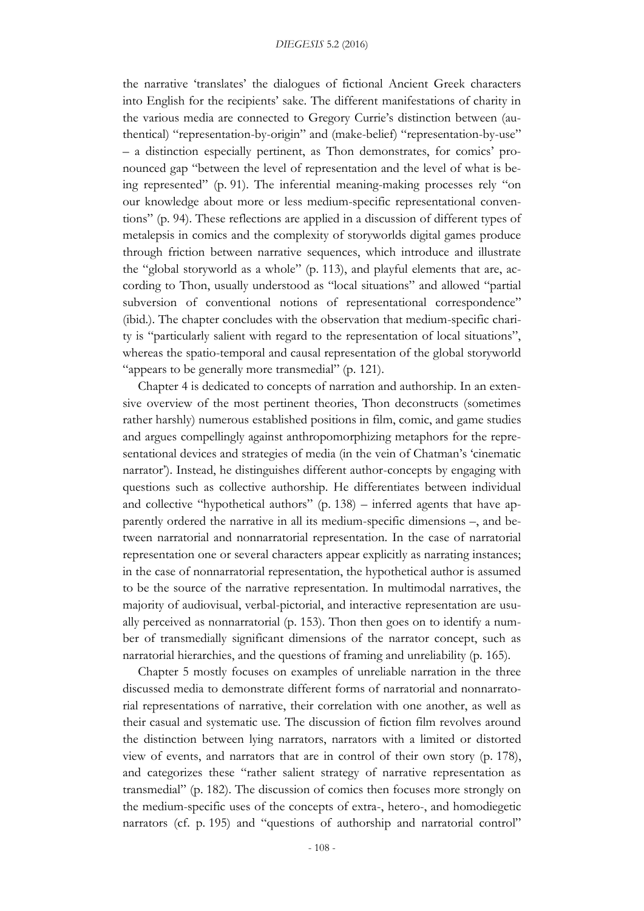the narrative 'translates' the dialogues of fictional Ancient Greek characters into English for the recipients' sake. The different manifestations of charity in the various media are connected to Gregory Currie's distinction between (authentical) "representation-by-origin" and (make-belief) "representation-by-use" – a distinction especially pertinent, as Thon demonstrates, for comics' pronounced gap "between the level of representation and the level of what is being represented" (p. 91). The inferential meaning-making processes rely "on our knowledge about more or less medium-specific representational conventions" (p. 94). These reflections are applied in a discussion of different types of metalepsis in comics and the complexity of storyworlds digital games produce through friction between narrative sequences, which introduce and illustrate the "global storyworld as a whole" (p. 113), and playful elements that are, according to Thon, usually understood as "local situations" and allowed "partial subversion of conventional notions of representational correspondence" (ibid.). The chapter concludes with the observation that medium-specific charity is "particularly salient with regard to the representation of local situations", whereas the spatio-temporal and causal representation of the global storyworld "appears to be generally more transmedial" (p. 121).

Chapter 4 is dedicated to concepts of narration and authorship. In an extensive overview of the most pertinent theories, Thon deconstructs (sometimes rather harshly) numerous established positions in film, comic, and game studies and argues compellingly against anthropomorphizing metaphors for the representational devices and strategies of media (in the vein of Chatman's 'cinematic narrator'). Instead, he distinguishes different author-concepts by engaging with questions such as collective authorship. He differentiates between individual and collective "hypothetical authors" (p. 138) – inferred agents that have apparently ordered the narrative in all its medium-specific dimensions –, and between narratorial and nonnarratorial representation. In the case of narratorial representation one or several characters appear explicitly as narrating instances; in the case of nonnarratorial representation, the hypothetical author is assumed to be the source of the narrative representation. In multimodal narratives, the majority of audiovisual, verbal-pictorial, and interactive representation are usually perceived as nonnarratorial (p. 153). Thon then goes on to identify a number of transmedially significant dimensions of the narrator concept, such as narratorial hierarchies, and the questions of framing and unreliability (p. 165).

Chapter 5 mostly focuses on examples of unreliable narration in the three discussed media to demonstrate different forms of narratorial and nonnarratorial representations of narrative, their correlation with one another, as well as their casual and systematic use. The discussion of fiction film revolves around the distinction between lying narrators, narrators with a limited or distorted view of events, and narrators that are in control of their own story (p. 178), and categorizes these "rather salient strategy of narrative representation as transmedial" (p. 182). The discussion of comics then focuses more strongly on the medium-specific uses of the concepts of extra-, hetero-, and homodiegetic narrators (cf. p. 195) and "questions of authorship and narratorial control"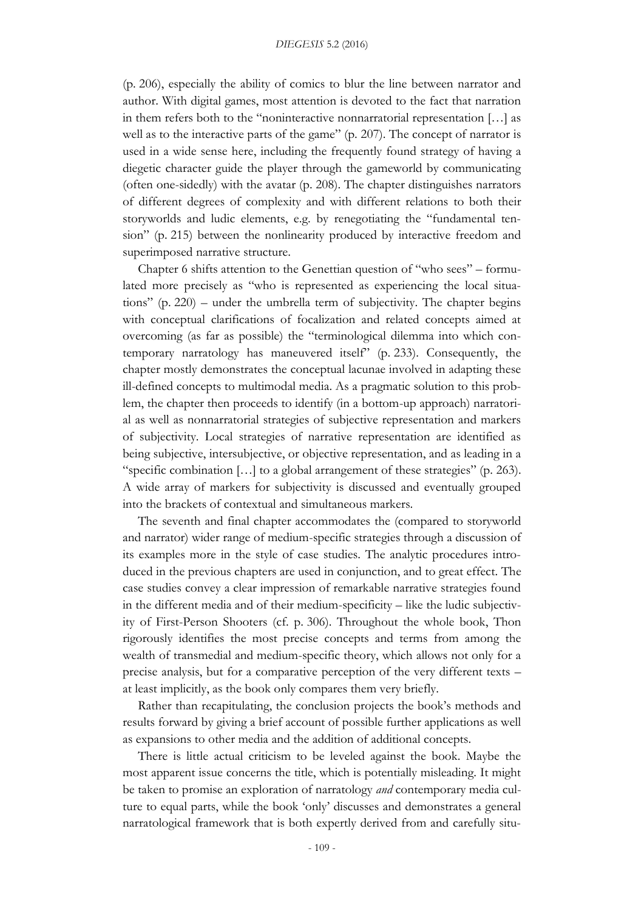(p. 206), especially the ability of comics to blur the line between narrator and author. With digital games, most attention is devoted to the fact that narration in them refers both to the "noninteractive nonnarratorial representation […] as well as to the interactive parts of the game" (p. 207). The concept of narrator is used in a wide sense here, including the frequently found strategy of having a diegetic character guide the player through the gameworld by communicating (often one-sidedly) with the avatar (p. 208). The chapter distinguishes narrators of different degrees of complexity and with different relations to both their storyworlds and ludic elements, e.g. by renegotiating the "fundamental tension" (p. 215) between the nonlinearity produced by interactive freedom and superimposed narrative structure.

Chapter 6 shifts attention to the Genettian question of "who sees" – formulated more precisely as "who is represented as experiencing the local situations" (p. 220) – under the umbrella term of subjectivity. The chapter begins with conceptual clarifications of focalization and related concepts aimed at overcoming (as far as possible) the "terminological dilemma into which contemporary narratology has maneuvered itself" (p. 233). Consequently, the chapter mostly demonstrates the conceptual lacunae involved in adapting these ill-defined concepts to multimodal media. As a pragmatic solution to this problem, the chapter then proceeds to identify (in a bottom-up approach) narratorial as well as nonnarratorial strategies of subjective representation and markers of subjectivity. Local strategies of narrative representation are identified as being subjective, intersubjective, or objective representation, and as leading in a "specific combination […] to a global arrangement of these strategies" (p. 263). A wide array of markers for subjectivity is discussed and eventually grouped into the brackets of contextual and simultaneous markers.

The seventh and final chapter accommodates the (compared to storyworld and narrator) wider range of medium-specific strategies through a discussion of its examples more in the style of case studies. The analytic procedures introduced in the previous chapters are used in conjunction, and to great effect. The case studies convey a clear impression of remarkable narrative strategies found in the different media and of their medium-specificity – like the ludic subjectivity of First-Person Shooters (cf. p. 306). Throughout the whole book, Thon rigorously identifies the most precise concepts and terms from among the wealth of transmedial and medium-specific theory, which allows not only for a precise analysis, but for a comparative perception of the very different texts – at least implicitly, as the book only compares them very briefly.

Rather than recapitulating, the conclusion projects the book's methods and results forward by giving a brief account of possible further applications as well as expansions to other media and the addition of additional concepts.

There is little actual criticism to be leveled against the book. Maybe the most apparent issue concerns the title, which is potentially misleading. It might be taken to promise an exploration of narratology *and* contemporary media culture to equal parts, while the book 'only' discusses and demonstrates a general narratological framework that is both expertly derived from and carefully situ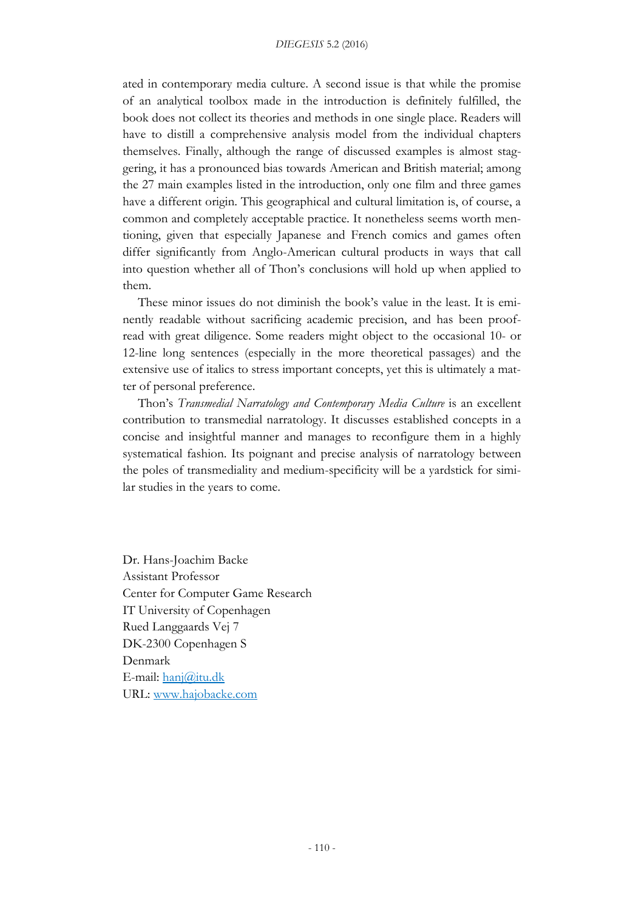ated in contemporary media culture. A second issue is that while the promise of an analytical toolbox made in the introduction is definitely fulfilled, the book does not collect its theories and methods in one single place. Readers will have to distill a comprehensive analysis model from the individual chapters themselves. Finally, although the range of discussed examples is almost staggering, it has a pronounced bias towards American and British material; among the 27 main examples listed in the introduction, only one film and three games have a different origin. This geographical and cultural limitation is, of course, a common and completely acceptable practice. It nonetheless seems worth mentioning, given that especially Japanese and French comics and games often differ significantly from Anglo-American cultural products in ways that call into question whether all of Thon's conclusions will hold up when applied to them.

These minor issues do not diminish the book's value in the least. It is eminently readable without sacrificing academic precision, and has been proofread with great diligence. Some readers might object to the occasional 10- or 12-line long sentences (especially in the more theoretical passages) and the extensive use of italics to stress important concepts, yet this is ultimately a matter of personal preference.

Thon's *Transmedial Narratology and Contemporary Media Culture* is an excellent contribution to transmedial narratology. It discusses established concepts in a concise and insightful manner and manages to reconfigure them in a highly systematical fashion. Its poignant and precise analysis of narratology between the poles of transmediality and medium-specificity will be a yardstick for similar studies in the years to come.

Dr. Hans-Joachim Backe Assistant Professor Center for Computer Game Research IT University of Copenhagen Rued Langgaards Vej 7 DK-2300 Copenhagen S Denmark E-mail: [hanj@itu.dk](mailto:hanj@itu.dk) URL: [www.hajobacke.com](http://www.hajobacke.com/)